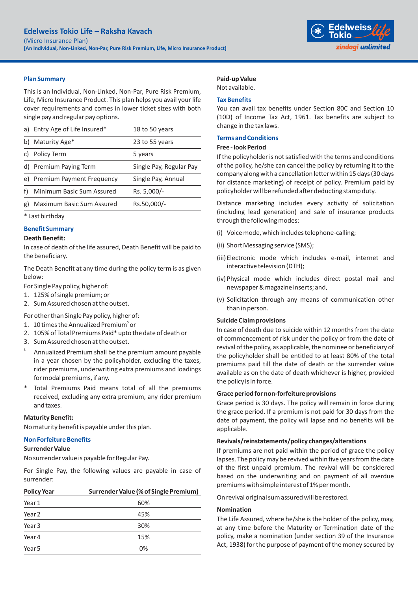

# **Plan Summary**

This is an Individual, Non-Linked, Non-Par, Pure Risk Premium, Life, Micro Insurance Product. This plan helps you avail your life cover requirements and comes in lower ticket sizes with both single pay and regular pay options.

|    | a) Entry Age of Life Insured* | 18 to 50 years          |
|----|-------------------------------|-------------------------|
| b) | Maturity Age*                 | 23 to 55 years          |
| C) | Policy Term                   | 5 years                 |
|    | d) Premium Paying Term        | Single Pay, Regular Pay |
|    | e) Premium Payment Frequency  | Single Pay, Annual      |
|    | Minimum Basic Sum Assured     | Rs. 5,000/-             |
| g) | Maximum Basic Sum Assured     | Rs.50,000/-             |
|    |                               |                         |

\* Last birthday

# **Benefit Summary**

#### **Death Benefit:**

In case of death of the life assured, Death Benefit will be paid to the beneficiary.

The Death Benefit at any time during the policy term is as given below:

For Single Pay policy, higher of:

- 1. 125% of single premium; or
- 2. Sum Assured chosen at the outset.

For other than Single Pay policy, higher of:

- 1. 10 times the Annualized Premium<sup>s</sup> or
- 2. 105% of Total Premiums Paid\* upto the date of death or
- 3. Sum Assured chosen at the outset.
- \$ Annualized Premium shall be the premium amount payable in a year chosen by the policyholder, excluding the taxes, rider premiums, underwriting extra premiums and loadings for modal premiums, if any.
- Total Premiums Paid means total of all the premiums received, excluding any extra premium, any rider premium and taxes.

# **Maturity Benefit:**

No maturity benefit is payable under this plan.

# **Non Forfeiture Benefits**

# **Surrender Value**

No surrender value is payable for Regular Pay.

For Single Pay, the following values are payable in case of surrender:

| <b>Policy Year</b> | Surrender Value (% of Single Premium) |  |
|--------------------|---------------------------------------|--|
| Year 1             | 60%                                   |  |
| Year <sub>2</sub>  | 45%                                   |  |
| Year <sub>3</sub>  | 30%                                   |  |
| Year 4             | 15%                                   |  |
| Year 5             | 0%                                    |  |

# **Paid-up Value**

Not available.

### **Tax Benefits**

You can avail tax benefits under Section 80C and Section 10 (10D) of Income Tax Act, 1961. Tax benefits are subject to change in the tax laws.

# **Terms and Conditions**

## **Free - look Period**

If the policyholder is not satisfied with the terms and conditions of the policy, he/she can cancel the policy by returning it to the company along with a cancellation letter within 15 days (30 days for distance marketing) of receipt of policy. Premium paid by policyholder will be refunded after deducting stamp duty.

Distance marketing includes every activity of solicitation (including lead generation) and sale of insurance products through the following modes:

- (i) Voice mode, which includes telephone-calling;
- (ii) Short Messaging service (SMS);
- (iii)Electronic mode which includes e-mail, internet and interactive television (DTH);
- (iv) Physical mode which includes direct postal mail and newspaper & magazine inserts; and,
- (v) Solicitation through any means of communication other than in person.

### **Suicide Claim provisions**

In case of death due to suicide within 12 months from the date of commencement of risk under the policy or from the date of revival of the policy, as applicable, the nominee or beneficiary of the policyholder shall be entitled to at least 80% of the total premiums paid till the date of death or the surrender value available as on the date of death whichever is higher, provided the policy is in force.

# **Grace period for non-forfeiture provisions**

Grace period is 30 days. The policy will remain in force during the grace period. If a premium is not paid for 30 days from the date of payment, the policy will lapse and no benefits will be applicable.

#### **Revivals/reinstatements/policy changes/alterations**

If premiums are not paid within the period of grace the policy lapses. The policy may be revived within five years from the date of the first unpaid premium. The revival will be considered based on the underwriting and on payment of all overdue premiums with simple interest of 1% per month.

On revival original sum assured will be restored.

#### **Nomination**

The Life Assured, where he/she is the holder of the policy, may, at any time before the Maturity or Termination date of the policy, make a nomination (under section 39 of the Insurance Act, 1938) for the purpose of payment of the money secured by